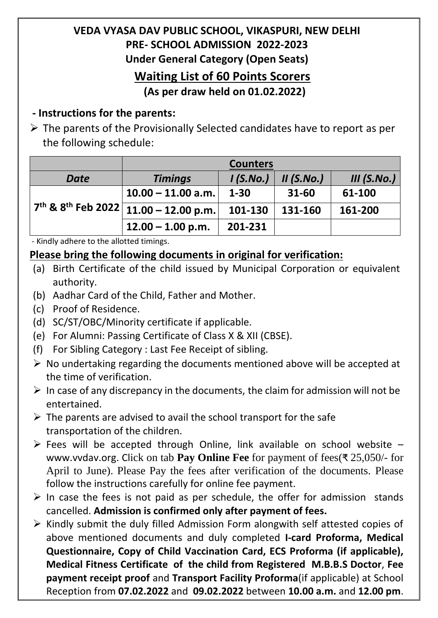## **VEDA VYASA DAV PUBLIC SCHOOL, VIKASPURI, NEW DELHI PRE- SCHOOL ADMISSION 2022-2023 Under General Category (Open Seats) Waiting List of 60 Points Scorers**

**(As per draw held on 01.02.2022)**

## **- Instructions for the parents:**

 $\triangleright$  The parents of the Provisionally Selected candidates have to report as per the following schedule:

|                                                                         | <b>Counters</b>      |          |              |             |
|-------------------------------------------------------------------------|----------------------|----------|--------------|-------------|
| <b>Date</b>                                                             | <b>Timings</b>       | I(S.No.) | $II$ (S.No.) | III (S.No.) |
| $17^{\text{th}}$ & 8 <sup>th</sup> Feb 2022 $\lceil$ 11.00 - 12.00 p.m. | $10.00 - 11.00$ a.m. | $1 - 30$ | $31 - 60$    | 61-100      |
|                                                                         |                      | 101-130  | 131-160      | 161-200     |
|                                                                         | $12.00 - 1.00$ p.m.  | 201-231  |              |             |

- Kindly adhere to the allotted timings.

## **Please bring the following documents in original for verification:**

- (a) Birth Certificate of the child issued by Municipal Corporation or equivalent authority.
- (b) Aadhar Card of the Child, Father and Mother.
- (c) Proof of Residence.
- (d) SC/ST/OBC/Minority certificate if applicable.
- (e) For Alumni: Passing Certificate of Class X & XII (CBSE).
- (f) For Sibling Category : Last Fee Receipt of sibling.
- $\triangleright$  No undertaking regarding the documents mentioned above will be accepted at the time of verification.
- $\triangleright$  In case of any discrepancy in the documents, the claim for admission will not be entertained.
- $\triangleright$  The parents are advised to avail the school transport for the safe transportation of the children.
- $\triangleright$  Fees will be accepted through Online, link available on school website [www.vvdav.org.](http://www.vvdav.org/) Click on tab **Pay Online Fee** for payment of fees(₹ 25,050/- for April to June). Please Pay the fees after verification of the documents. Please follow the instructions carefully for online fee payment.
- $\triangleright$  In case the fees is not paid as per schedule, the offer for admission stands cancelled. **Admission is confirmed only after payment of fees.**
- $\triangleright$  Kindly submit the duly filled Admission Form alongwith self attested copies of above mentioned documents and duly completed **I-card Proforma, Medical Questionnaire, Copy of Child Vaccination Card, ECS Proforma (if applicable), Medical Fitness Certificate of the child from Registered M.B.B.S Doctor**, **Fee payment receipt proof** and **Transport Facility Proforma**(if applicable) at School Reception from **07.02.2022** and **09.02.2022** between **10.00 a.m.** and **12.00 pm**.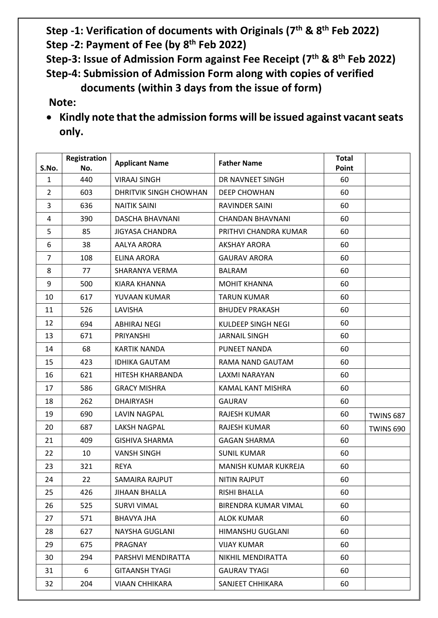**Step -1: Verification of documents with Originals (7 th & 8 th Feb 2022)**

**Step -2: Payment of Fee (by 8 th Feb 2022)**

**Step-3: Issue of Admission Form against Fee Receipt (7 th & 8th Feb 2022) Step-4: Submission of Admission Form along with copies of verified** 

 **documents (within 3 days from the issue of form)**

**Note:**

 **Kindly note that the admission forms will be issued against vacant seats only.**

| S.No.          | Registration<br>No. | <b>Applicant Name</b>  | <b>Father Name</b>          | <b>Total</b><br>Point |                  |
|----------------|---------------------|------------------------|-----------------------------|-----------------------|------------------|
| $\mathbf{1}$   | 440                 | <b>VIRAAJ SINGH</b>    | DR NAVNEET SINGH            | 60                    |                  |
| $\overline{2}$ | 603                 | DHRITVIK SINGH CHOWHAN | <b>DEEP CHOWHAN</b>         | 60                    |                  |
| 3              | 636                 | <b>NAITIK SAINI</b>    | <b>RAVINDER SAINI</b>       | 60                    |                  |
| 4              | 390                 | DASCHA BHAVNANI        | <b>CHANDAN BHAVNANI</b>     | 60                    |                  |
| 5              | 85                  | <b>JIGYASA CHANDRA</b> | PRITHVI CHANDRA KUMAR       | 60                    |                  |
| 6              | 38                  | <b>AALYA ARORA</b>     | <b>AKSHAY ARORA</b>         | 60                    |                  |
| $\overline{7}$ | 108                 | <b>ELINA ARORA</b>     | <b>GAURAV ARORA</b>         | 60                    |                  |
| 8              | 77                  | SHARANYA VERMA         | <b>BALRAM</b>               | 60                    |                  |
| 9              | 500                 | <b>KIARA KHANNA</b>    | <b>MOHIT KHANNA</b>         | 60                    |                  |
| 10             | 617                 | YUVAAN KUMAR           | <b>TARUN KUMAR</b>          | 60                    |                  |
| 11             | 526                 | LAVISHA                | <b>BHUDEV PRAKASH</b>       | 60                    |                  |
| 12             | 694                 | <b>ABHIRAJ NEGI</b>    | <b>KULDEEP SINGH NEGI</b>   | 60                    |                  |
| 13             | 671                 | PRIYANSHI              | <b>JARNAIL SINGH</b>        | 60                    |                  |
| 14             | 68                  | <b>KARTIK NANDA</b>    | PUNEET NANDA                | 60                    |                  |
| 15             | 423                 | <b>IDHIKA GAUTAM</b>   | RAMA NAND GAUTAM            | 60                    |                  |
| 16             | 621                 | HITESH KHARBANDA       | LAXMI NARAYAN               | 60                    |                  |
| 17             | 586                 | <b>GRACY MISHRA</b>    | KAMAL KANT MISHRA           | 60                    |                  |
| 18             | 262                 | <b>DHAIRYASH</b>       | <b>GAURAV</b>               | 60                    |                  |
| 19             | 690                 | <b>LAVIN NAGPAL</b>    | RAJESH KUMAR                | 60                    | <b>TWINS 687</b> |
| 20             | 687                 | <b>LAKSH NAGPAL</b>    | RAJESH KUMAR                | 60                    | <b>TWINS 690</b> |
| 21             | 409                 | <b>GISHIVA SHARMA</b>  | <b>GAGAN SHARMA</b>         | 60                    |                  |
| 22             | 10                  | <b>VANSH SINGH</b>     | <b>SUNIL KUMAR</b>          | 60                    |                  |
| 23             | 321                 | <b>REYA</b>            | <b>MANISH KUMAR KUKREJA</b> | 60                    |                  |
| 24             | 22                  | SAMAIRA RAJPUT         | <b>NITIN RAJPUT</b>         | 60                    |                  |
| 25             | 426                 | JIHAAN BHALLA          | RISHI BHALLA                | 60                    |                  |
| 26             | 525                 | <b>SURVI VIMAL</b>     | BIRENDRA KUMAR VIMAL        | 60                    |                  |
| 27             | 571                 | BHAVYA JHA             | <b>ALOK KUMAR</b>           | 60                    |                  |
| 28             | 627                 | NAYSHA GUGLANI         | HIMANSHU GUGLANI            | 60                    |                  |
| 29             | 675                 | PRAGNAY                | <b>VIJAY KUMAR</b>          | 60                    |                  |
| 30             | 294                 | PARSHVI MENDIRATTA     | NIKHIL MENDIRATTA           | 60                    |                  |
| 31             | 6                   | <b>GITAANSH TYAGI</b>  | <b>GAURAV TYAGI</b>         | 60                    |                  |
| 32             | 204                 | <b>VIAAN CHHIKARA</b>  | SANJEET CHHIKARA            | 60                    |                  |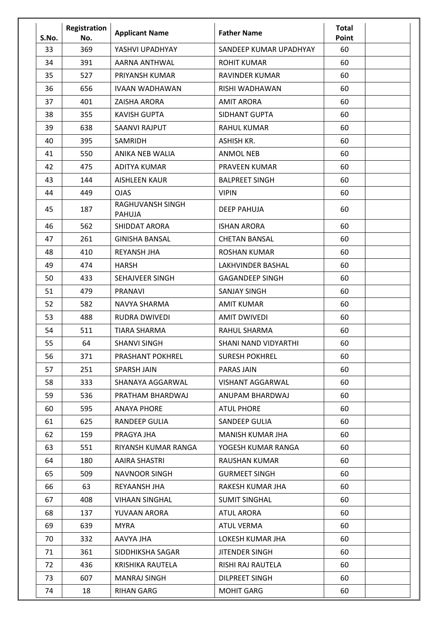| S.No. | Registration<br>No. | <b>Applicant Name</b>             | <b>Father Name</b>          | <b>Total</b><br>Point |  |
|-------|---------------------|-----------------------------------|-----------------------------|-----------------------|--|
| 33    | 369                 | YASHVI UPADHYAY                   | SANDEEP KUMAR UPADHYAY      | 60                    |  |
| 34    | 391                 | AARNA ANTHWAL                     | <b>ROHIT KUMAR</b>          | 60                    |  |
| 35    | 527                 | PRIYANSH KUMAR                    | RAVINDER KUMAR              | 60                    |  |
| 36    | 656                 | <b>IVAAN WADHAWAN</b>             | RISHI WADHAWAN              | 60                    |  |
| 37    | 401                 | ZAISHA ARORA                      | <b>AMIT ARORA</b>           | 60                    |  |
| 38    | 355                 | <b>KAVISH GUPTA</b>               | SIDHANT GUPTA               | 60                    |  |
| 39    | 638                 | SAANVI RAJPUT                     | <b>RAHUL KUMAR</b>          | 60                    |  |
| 40    | 395                 | SAMRIDH                           | <b>ASHISH KR.</b>           | 60                    |  |
| 41    | 550                 | ANIKA NEB WALIA                   | <b>ANMOL NEB</b>            | 60                    |  |
| 42    | 475                 | ADITYA KUMAR                      | <b>PRAVEEN KUMAR</b>        | 60                    |  |
| 43    | 144                 | <b>AISHLEEN KAUR</b>              | <b>BALPREET SINGH</b>       | 60                    |  |
| 44    | 449                 | <b>OJAS</b>                       | <b>VIPIN</b>                | 60                    |  |
| 45    | 187                 | RAGHUVANSH SINGH<br><b>PAHUJA</b> | <b>DEEP PAHUJA</b>          | 60                    |  |
| 46    | 562                 | <b>SHIDDAT ARORA</b>              | <b>ISHAN ARORA</b>          | 60                    |  |
| 47    | 261                 | <b>GINISHA BANSAL</b>             | <b>CHETAN BANSAL</b>        | 60                    |  |
| 48    | 410                 | <b>REYANSH JHA</b>                | <b>ROSHAN KUMAR</b>         | 60                    |  |
| 49    | 474                 | <b>HARSH</b>                      | LAKHVINDER BASHAL           | 60                    |  |
| 50    | 433                 | SEHAJVEER SINGH                   | <b>GAGANDEEP SINGH</b>      | 60                    |  |
| 51    | 479                 | <b>PRANAVI</b>                    | <b>SANJAY SINGH</b>         | 60                    |  |
| 52    | 582                 | NAVYA SHARMA                      | <b>AMIT KUMAR</b>           | 60                    |  |
| 53    | 488                 | <b>RUDRA DWIVEDI</b>              | <b>AMIT DWIVEDI</b>         | 60                    |  |
| 54    | 511                 | <b>TIARA SHARMA</b>               | <b>RAHUL SHARMA</b>         | 60                    |  |
| 55    | 64                  | <b>SHANVI SINGH</b>               | <b>SHANI NAND VIDYARTHI</b> | 60                    |  |
| 56    | 371                 | <b>PRASHANT POKHREL</b>           | <b>SURESH POKHREL</b>       | 60                    |  |
| 57    | 251                 | <b>SPARSH JAIN</b>                | PARAS JAIN                  | 60                    |  |
| 58    | 333                 | SHANAYA AGGARWAL                  | <b>VISHANT AGGARWAL</b>     | 60                    |  |
| 59    | 536                 | PRATHAM BHARDWAJ                  | ANUPAM BHARDWAJ             | 60                    |  |
| 60    | 595                 | <b>ANAYA PHORE</b>                | <b>ATUL PHORE</b>           | 60                    |  |
| 61    | 625                 | RANDEEP GULIA                     | <b>SANDEEP GULIA</b>        | 60                    |  |
| 62    | 159                 | PRAGYA JHA                        | MANISH KUMAR JHA            | 60                    |  |
| 63    | 551                 | RIYANSH KUMAR RANGA               | YOGESH KUMAR RANGA          | 60                    |  |
| 64    | 180                 | AAIRA SHASTRI                     | RAUSHAN KUMAR               | 60                    |  |
| 65    | 509                 | <b>NAVNOOR SINGH</b>              | <b>GURMEET SINGH</b>        | 60                    |  |
| 66    | 63                  | REYAANSH JHA                      | RAKESH KUMAR JHA            | 60                    |  |
| 67    | 408                 | <b>VIHAAN SINGHAL</b>             | <b>SUMIT SINGHAL</b>        | 60                    |  |
| 68    | 137                 | YUVAAN ARORA                      | <b>ATUL ARORA</b>           | 60                    |  |
| 69    | 639                 | <b>MYRA</b>                       | <b>ATUL VERMA</b>           | 60                    |  |
| 70    | 332                 | AAVYA JHA                         | LOKESH KUMAR JHA            | 60                    |  |
| 71    | 361                 | SIDDHIKSHA SAGAR                  | <b>JITENDER SINGH</b>       | 60                    |  |
| 72    | 436                 | KRISHIKA RAUTELA                  | RISHI RAJ RAUTELA           | 60                    |  |
| 73    | 607                 | MANRAJ SINGH                      | <b>DILPREET SINGH</b>       | 60                    |  |
| 74    | 18                  | <b>RIHAN GARG</b>                 | <b>MOHIT GARG</b>           | 60                    |  |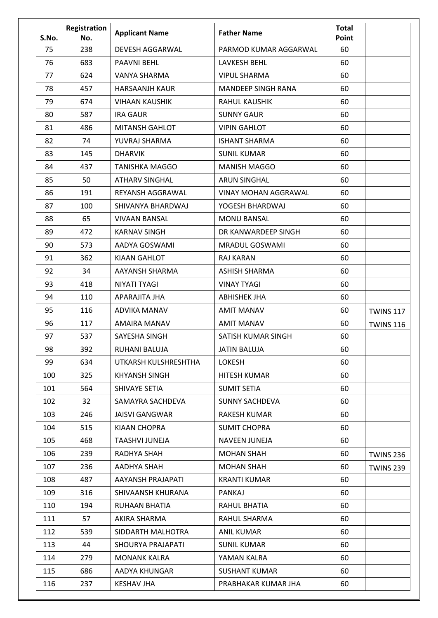| S.No. | Registration<br>No. | <b>Applicant Name</b>    | <b>Father Name</b>          | <b>Total</b><br>Point |                  |
|-------|---------------------|--------------------------|-----------------------------|-----------------------|------------------|
| 75    | 238                 | <b>DEVESH AGGARWAL</b>   | PARMOD KUMAR AGGARWAL       | 60                    |                  |
| 76    | 683                 | <b>PAAVNI BEHL</b>       | <b>LAVKESH BEHL</b>         | 60                    |                  |
| 77    | 624                 | VANYA SHARMA             | <b>VIPUL SHARMA</b>         | 60                    |                  |
| 78    | 457                 | <b>HARSAANJH KAUR</b>    | <b>MANDEEP SINGH RANA</b>   | 60                    |                  |
| 79    | 674                 | <b>VIHAAN KAUSHIK</b>    | <b>RAHUL KAUSHIK</b>        | 60                    |                  |
| 80    | 587                 | <b>IRA GAUR</b>          | <b>SUNNY GAUR</b>           | 60                    |                  |
| 81    | 486                 | <b>MITANSH GAHLOT</b>    | <b>VIPIN GAHLOT</b>         | 60                    |                  |
| 82    | 74                  | YUVRAJ SHARMA            | <b>ISHANT SHARMA</b>        | 60                    |                  |
| 83    | 145                 | <b>DHARVIK</b>           | <b>SUNIL KUMAR</b>          | 60                    |                  |
| 84    | 437                 | <b>TANISHKA MAGGO</b>    | <b>MANISH MAGGO</b>         | 60                    |                  |
| 85    | 50                  | <b>ATHARV SINGHAL</b>    | <b>ARUN SINGHAL</b>         | 60                    |                  |
| 86    | 191                 | REYANSH AGGRAWAL         | <b>VINAY MOHAN AGGRAWAL</b> | 60                    |                  |
| 87    | 100                 | SHIVANYA BHARDWAJ        | YOGESH BHARDWAJ             | 60                    |                  |
| 88    | 65                  | <b>VIVAAN BANSAL</b>     | <b>MONU BANSAL</b>          | 60                    |                  |
| 89    | 472                 | <b>KARNAV SINGH</b>      | DR KANWARDEEP SINGH         | 60                    |                  |
| 90    | 573                 | AADYA GOSWAMI            | <b>MRADUL GOSWAMI</b>       | 60                    |                  |
| 91    | 362                 | <b>KIAAN GAHLOT</b>      | <b>RAJ KARAN</b>            | 60                    |                  |
| 92    | 34                  | AAYANSH SHARMA           | <b>ASHISH SHARMA</b>        | 60                    |                  |
| 93    | 418                 | NIYATI TYAGI             | <b>VINAY TYAGI</b>          | 60                    |                  |
| 94    | 110                 | APARAJITA JHA            | <b>ABHISHEK JHA</b>         | 60                    |                  |
| 95    | 116                 | <b>ADVIKA MANAV</b>      | <b>AMIT MANAV</b>           | 60                    | <b>TWINS 117</b> |
| 96    | 117                 | <b>AMAIRA MANAV</b>      | <b>AMIT MANAV</b>           | 60                    | <b>TWINS 116</b> |
| 97    | 537                 | SAYESHA SINGH            | SATISH KUMAR SINGH          | 60                    |                  |
| 98    | 392                 | RUHANI BALUJA            | <b>JATIN BALUJA</b>         | 60                    |                  |
| 99    | 634                 | UTKARSH KULSHRESHTHA     | <b>LOKESH</b>               | 60                    |                  |
| 100   | 325                 | KHYANSH SINGH            | <b>HITESH KUMAR</b>         | 60                    |                  |
| 101   | 564                 | SHIVAYE SETIA            | <b>SUMIT SETIA</b>          | 60                    |                  |
| 102   | 32                  | SAMAYRA SACHDEVA         | <b>SUNNY SACHDEVA</b>       | 60                    |                  |
| 103   | 246                 | <b>JAISVI GANGWAR</b>    | RAKESH KUMAR                | 60                    |                  |
| 104   | 515                 | KIAAN CHOPRA             | <b>SUMIT CHOPRA</b>         | 60                    |                  |
| 105   | 468                 | TAASHVI JUNEJA           | NAVEEN JUNEJA               | 60                    |                  |
| 106   | 239                 | RADHYA SHAH              | <b>MOHAN SHAH</b>           | 60                    | <b>TWINS 236</b> |
| 107   | 236                 | AADHYA SHAH              | <b>MOHAN SHAH</b>           | 60                    | <b>TWINS 239</b> |
| 108   | 487                 | AAYANSH PRAJAPATI        | <b>KRANTI KUMAR</b>         | 60                    |                  |
| 109   | 316                 | SHIVAANSH KHURANA        | <b>PANKAJ</b>               | 60                    |                  |
| 110   | 194                 | RUHAAN BHATIA            | RAHUL BHATIA                | 60                    |                  |
| 111   | 57                  | AKIRA SHARMA             | RAHUL SHARMA                | 60                    |                  |
| 112   | 539                 | SIDDARTH MALHOTRA        | <b>ANIL KUMAR</b>           | 60                    |                  |
| 113   | 44                  | <b>SHOURYA PRAJAPATI</b> | <b>SUNIL KUMAR</b>          | 60                    |                  |
| 114   | 279                 | <b>MONANK KALRA</b>      | YAMAN KALRA                 | 60                    |                  |
| 115   | 686                 | AADYA KHUNGAR            | <b>SUSHANT KUMAR</b>        | 60                    |                  |
| 116   | 237                 | KESHAV JHA               | PRABHAKAR KUMAR JHA         | 60                    |                  |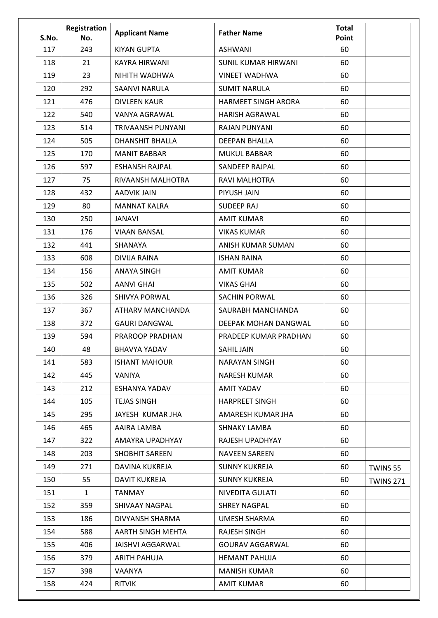| S.No. | Registration<br>No. | <b>Applicant Name</b>   | <b>Father Name</b>          | <b>Total</b><br>Point |                  |
|-------|---------------------|-------------------------|-----------------------------|-----------------------|------------------|
| 117   | 243                 | <b>KIYAN GUPTA</b>      | <b>ASHWANI</b>              | 60                    |                  |
| 118   | 21                  | <b>KAYRA HIRWANI</b>    | <b>SUNIL KUMAR HIRWANI</b>  | 60                    |                  |
| 119   | 23                  | NIHITH WADHWA           | <b>VINEET WADHWA</b>        | 60                    |                  |
| 120   | 292                 | SAANVI NARULA           | <b>SUMIT NARULA</b>         | 60                    |                  |
| 121   | 476                 | <b>DIVLEEN KAUR</b>     | <b>HARMEET SINGH ARORA</b>  | 60                    |                  |
| 122   | 540                 | VANYA AGRAWAL           | <b>HARISH AGRAWAL</b>       | 60                    |                  |
| 123   | 514                 | TRIVAANSH PUNYANI       | RAJAN PUNYANI               | 60                    |                  |
| 124   | 505                 | <b>DHANSHIT BHALLA</b>  | <b>DEEPAN BHALLA</b>        | 60                    |                  |
| 125   | 170                 | <b>MANIT BABBAR</b>     | <b>MUKUL BABBAR</b>         | 60                    |                  |
| 126   | 597                 | <b>ESHANSH RAJPAL</b>   | <b>SANDEEP RAJPAL</b>       | 60                    |                  |
| 127   | 75                  | RIVAANSH MALHOTRA       | <b>RAVI MALHOTRA</b>        | 60                    |                  |
| 128   | 432                 | <b>AADVIK JAIN</b>      | PIYUSH JAIN                 | 60                    |                  |
| 129   | 80                  | <b>MANNAT KALRA</b>     | <b>SUDEEP RAJ</b>           | 60                    |                  |
| 130   | 250                 | JANAVI                  | <b>AMIT KUMAR</b>           | 60                    |                  |
| 131   | 176                 | <b>VIAAN BANSAL</b>     | <b>VIKAS KUMAR</b>          | 60                    |                  |
| 132   | 441                 | SHANAYA                 | ANISH KUMAR SUMAN           | 60                    |                  |
| 133   | 608                 | DIVIJA RAINA            | <b>ISHAN RAINA</b>          | 60                    |                  |
| 134   | 156                 | <b>ANAYA SINGH</b>      | <b>AMIT KUMAR</b>           | 60                    |                  |
| 135   | 502                 | <b>AANVI GHAI</b>       | <b>VIKAS GHAI</b>           | 60                    |                  |
| 136   | 326                 | <b>SHIVYA PORWAL</b>    | <b>SACHIN PORWAL</b>        | 60                    |                  |
| 137   | 367                 | ATHARV MANCHANDA        | SAURABH MANCHANDA           | 60                    |                  |
| 138   | 372                 | <b>GAURI DANGWAL</b>    | <b>DEEPAK MOHAN DANGWAL</b> | 60                    |                  |
| 139   | 594                 | PRAROOP PRADHAN         | PRADEEP KUMAR PRADHAN       | 60                    |                  |
| 140   | 48                  | <b>BHAVYA YADAV</b>     | SAHIL JAIN                  | 60                    |                  |
| 141   | 583                 | <b>ISHANT MAHOUR</b>    | NARAYAN SINGH               | 60                    |                  |
| 142   | 445                 | VANIYA                  | NARESH KUMAR                | 60                    |                  |
| 143   | 212                 | ESHANYA YADAV           | AMIT YADAV                  | 60                    |                  |
| 144   | 105                 | <b>TEJAS SINGH</b>      | <b>HARPREET SINGH</b>       | 60                    |                  |
| 145   | 295                 | JAYESH KUMAR JHA        | AMARESH KUMAR JHA           | 60                    |                  |
| 146   | 465                 | AAIRA LAMBA             | SHNAKY LAMBA                | 60                    |                  |
| 147   | 322                 | AMAYRA UPADHYAY         | RAJESH UPADHYAY             | 60                    |                  |
| 148   | 203                 | <b>SHOBHIT SAREEN</b>   | <b>NAVEEN SAREEN</b>        | 60                    |                  |
| 149   | 271                 | DAVINA KUKREJA          | <b>SUNNY KUKREJA</b>        | 60                    | TWINS 55         |
| 150   | 55                  | <b>DAVIT KUKREJA</b>    | <b>SUNNY KUKREJA</b>        | 60                    | <b>TWINS 271</b> |
| 151   | $\mathbf{1}$        | <b>TANMAY</b>           | NIVEDITA GULATI             | 60                    |                  |
| 152   | 359                 | SHIVAAY NAGPAL          | <b>SHREY NAGPAL</b>         | 60                    |                  |
| 153   | 186                 | DIVYANSH SHARMA         | <b>UMESH SHARMA</b>         | 60                    |                  |
| 154   | 588                 | AARTH SINGH MEHTA       | RAJESH SINGH                | 60                    |                  |
| 155   | 406                 | <b>JAISHVI AGGARWAL</b> | <b>GOURAV AGGARWAL</b>      | 60                    |                  |
| 156   | 379                 | ARITH PAHUJA            | <b>HEMANT PAHUJA</b>        | 60                    |                  |
| 157   | 398                 | VAANYA                  | <b>MANISH KUMAR</b>         | 60                    |                  |
| 158   | 424                 | <b>RITVIK</b>           | AMIT KUMAR                  | 60                    |                  |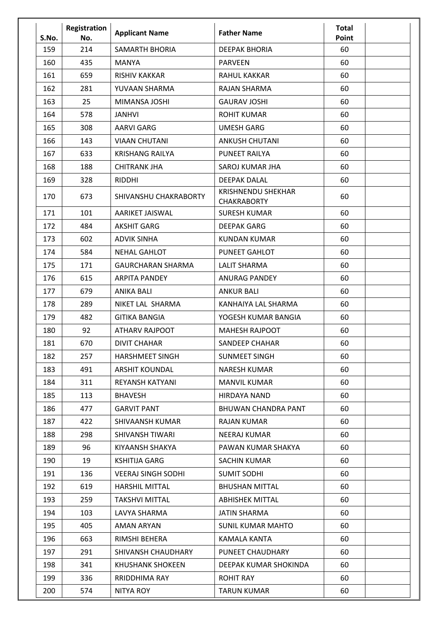| S.No. | Registration<br>No. | <b>Applicant Name</b>     | <b>Father Name</b>                              | <b>Total</b><br>Point |  |
|-------|---------------------|---------------------------|-------------------------------------------------|-----------------------|--|
| 159   | 214                 | <b>SAMARTH BHORIA</b>     | <b>DEEPAK BHORIA</b>                            | 60                    |  |
| 160   | 435                 | MANYA                     | <b>PARVEEN</b>                                  | 60                    |  |
| 161   | 659                 | <b>RISHIV KAKKAR</b>      | RAHUL KAKKAR                                    | 60                    |  |
| 162   | 281                 | YUVAAN SHARMA             | <b>RAJAN SHARMA</b>                             | 60                    |  |
| 163   | 25                  | MIMANSA JOSHI             | <b>GAURAV JOSHI</b>                             | 60                    |  |
| 164   | 578                 | <b>JANHVI</b>             | <b>ROHIT KUMAR</b>                              | 60                    |  |
| 165   | 308                 | AARVI GARG                | <b>UMESH GARG</b>                               | 60                    |  |
| 166   | 143                 | <b>VIAAN CHUTANI</b>      | <b>ANKUSH CHUTANI</b>                           | 60                    |  |
| 167   | 633                 | <b>KRISHANG RAILYA</b>    | PUNEET RAILYA                                   | 60                    |  |
| 168   | 188                 | <b>CHITRANK JHA</b>       | SAROJ KUMAR JHA                                 | 60                    |  |
| 169   | 328                 | <b>RIDDHI</b>             | <b>DEEPAK DALAL</b>                             | 60                    |  |
| 170   | 673                 | SHIVANSHU CHAKRABORTY     | <b>KRISHNENDU SHEKHAR</b><br><b>CHAKRABORTY</b> | 60                    |  |
| 171   | 101                 | AARIKET JAISWAL           | <b>SURESH KUMAR</b>                             | 60                    |  |
| 172   | 484                 | <b>AKSHIT GARG</b>        | <b>DEEPAK GARG</b>                              | 60                    |  |
| 173   | 602                 | <b>ADVIK SINHA</b>        | <b>KUNDAN KUMAR</b>                             | 60                    |  |
| 174   | 584                 | <b>NEHAL GAHLOT</b>       | PUNEET GAHLOT                                   | 60                    |  |
| 175   | 171                 | <b>GAURCHARAN SHARMA</b>  | <b>LALIT SHARMA</b>                             | 60                    |  |
| 176   | 615                 | <b>ARPITA PANDEY</b>      | <b>ANURAG PANDEY</b>                            | 60                    |  |
| 177   | 679                 | <b>ANIKA BALI</b>         | <b>ANKUR BALI</b>                               | 60                    |  |
| 178   | 289                 | NIKET LAL SHARMA          | KANHAIYA LAL SHARMA                             | 60                    |  |
| 179   | 482                 | <b>GITIKA BANGIA</b>      | YOGESH KUMAR BANGIA                             | 60                    |  |
| 180   | 92                  | <b>ATHARV RAJPOOT</b>     | <b>MAHESH RAJPOOT</b>                           | 60                    |  |
| 181   | 670                 | <b>DIVIT CHAHAR</b>       | <b>SANDEEP CHAHAR</b>                           | 60                    |  |
| 182   | 257                 | <b>HARSHMEET SINGH</b>    | <b>SUNMEET SINGH</b>                            | 60                    |  |
| 183   | 491                 | <b>ARSHIT KOUNDAL</b>     | <b>NARESH KUMAR</b>                             | 60                    |  |
| 184   | 311                 | REYANSH KATYANI           | <b>MANVIL KUMAR</b>                             | 60                    |  |
| 185   | 113                 | <b>BHAVESH</b>            | <b>HIRDAYA NAND</b>                             | 60                    |  |
| 186   | 477                 | <b>GARVIT PANT</b>        | <b>BHUWAN CHANDRA PANT</b>                      | 60                    |  |
| 187   | 422                 | SHIVAANSH KUMAR           | <b>RAJAN KUMAR</b>                              | 60                    |  |
| 188   | 298                 | SHIVANSH TIWARI           | NEERAJ KUMAR                                    | 60                    |  |
| 189   | 96                  | KIYAANSH SHAKYA           | PAWAN KUMAR SHAKYA                              | 60                    |  |
| 190   | 19                  | <b>KSHITIJA GARG</b>      | SACHIN KUMAR                                    | 60                    |  |
| 191   | 136                 | <b>VEERAJ SINGH SODHI</b> | <b>SUMIT SODHI</b>                              | 60                    |  |
| 192   | 619                 | <b>HARSHIL MITTAL</b>     | <b>BHUSHAN MITTAL</b>                           | 60                    |  |
| 193   | 259                 | <b>TAKSHVI MITTAL</b>     | <b>ABHISHEK MITTAL</b>                          | 60                    |  |
| 194   | 103                 | LAVYA SHARMA              | <b>JATIN SHARMA</b>                             | 60                    |  |
| 195   | 405                 | <b>AMAN ARYAN</b>         | <b>SUNIL KUMAR MAHTO</b>                        | 60                    |  |
| 196   | 663                 | RIMSHI BEHERA             | KAMALA KANTA                                    | 60                    |  |
| 197   | 291                 | SHIVANSH CHAUDHARY        | PUNEET CHAUDHARY                                | 60                    |  |
| 198   | 341                 | <b>KHUSHANK SHOKEEN</b>   | DEEPAK KUMAR SHOKINDA                           | 60                    |  |
| 199   | 336                 | RRIDDHIMA RAY             | <b>ROHIT RAY</b>                                | 60                    |  |
| 200   | 574                 | NITYA ROY                 | <b>TARUN KUMAR</b>                              | 60                    |  |